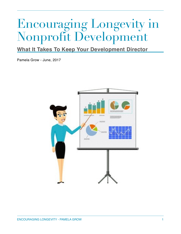# Encouraging Longevity in Nonprofit Development

# **What It Takes To Keep Your Development Director**

Pamela Grow - June, 2017

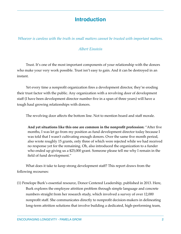# **Introduction**

*Whoever is careless with the truth in small matters cannot be trusted with important matters.*

# *Albert Einstein*

Trust. It's one of the most important components of your relationship with the donors who make your very work possible. Trust isn't easy to gain. And it can be destroyed in an instant.

Yet every time a nonprofit organization fires a development director, they're eroding their trust factor with the public. Any organization with a revolving door of development staff (I have been development director number five in a span of three years) will have a tough haul growing relationships with donors.

The revolving door affects the bottom line. Not to mention board and staff morale.

**And yet situations like this one are common in the nonprofit profession:** "After five months, I was let go from my position as fund development director today because I was told that I wasn't cultivating enough donors. Over the same five month period, also wrote roughly 15 grants, only three of which were rejected while we had received no response yet for the remaining. Oh, also introduced the organization to a funder who ended up giving us a \$25,000 grant. Someone please tell me why I remain in the field of fund development."

What does it take to keep strong development staff? This report draws from the following recourses:

(1) Penelope Burk's essential resource, Donor Centered Leadership, published in 2013. Here, Burk explores the employee attrition problem through simple language and concrete numbers straight from her research study, which involved a survey of over 12,000 nonprofit staff. She communicates directly to nonprofit decision-makers in delineating long-term attrition solutions that involve building a dedicated, high-performing team,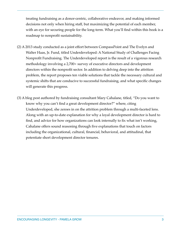treating fundraising as a donor-centric, collaborative endeavor, and making informed decisions not only when hiring staff, but maximizing the potential of each member, with an eye for securing people for the long-term. What you'll find within this book is a roadmap to nonprofit sustainability.

- (2) A 2013 study conducted as a joint effort between CompassPoint and The Evelyn and Walter Haas, Jr. Fund, titled Underdeveloped: A National Study of Challenges Facing Nonprofit Fundraising. The Underdeveloped report is the result of a vigorous research methodology involving a 2,700+ survey of executive directors and development directors within the nonprofit sector. In addition to delving deep into the attrition problem, the report proposes ten viable solutions that tackle the necessary cultural and systemic shifts that are conducive to successful fundraising, and what specific changes will generate this progress.
- (3) A blog post authored by fundraising consultant Mary Cahalane, titled, "Do you want to know why you can't find a great development director?" where, citing Underdeveloped, she zeroes in on the attrition problem through a multi-faceted lens. Along with an up-to-date explanation for why a loyal development director is hard to find, and advice for how organizations can look internally to fix what isn't working, Cahalane offers sound reasoning through five explanations that touch on factors including the organizational, cultural, financial, behavioral, and attitudinal, that potentiate short development director tenures.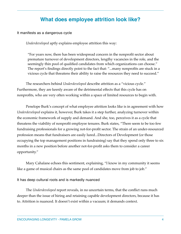# **What does employee attrition look like?**

#### It manifests as a dangerous cycle

*Underdeveloped* aptly explains employee attrition this way:

"For years now, there has been widespread concern in the nonprofit sector about premature turnover of development directors, lengthy vacancies in the role, and the seemingly thin pool of qualified candidates from which organizations can choose." The report's findings directly point to the fact that: "...many nonprofits are stuck in a vicious cycle that threatens their ability to raise the resources they need to succeed."

The researchers behind *Underdeveloped* describe attrition as a "vicious cycle." Furthermore, they are keenly aware of the detrimental effects that this cycle has on nonprofits, who are very often working within a space of limited resources to begin with.

Penelope Burk's concept of what employee attrition looks like is in agreement with how *Underdeveloped* explains it, however, Burk takes it a step further, analyzing turnover within the economic framework of supply and demand. And she, too, perceives it as a cycle that threatens the viability of nonprofit employee tenures. Burk states, "There seem to be too few fundraising professionals for a growing not-for-profit sector. The strain of an under-resourced profession means that fundraisers are easily lured...Directors of Development (or those occupying the top management positions in fundraising) say that they spend only three to six months in a new position before another not-for-profit asks them to consider a career opportunity."

Mary Cahalane echoes this sentiment, explaining, "I know in my community it seems like a game of musical chairs as the same pool of candidates move from job to job."

#### It has deep cultural roots and is markedly nuanced

The *Underdeveloped* report reveals, in no uncertain terms, that the conflict runs much deeper than the issue of hiring and retaining capable development directors, because it has to. Attrition is nuanced. It doesn't exist within a vacuum; it demands context.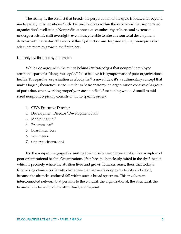The reality is, the conflict that breeds the perpetuation of the cycle is located far beyond inadequately filled positions. Such dysfunction lives within the very fabric that supports an organization's well being. Nonprofits cannot expect unhealthy cultures and systems to undergo a seismic shift overnight, even if they're able to hire a resourceful development director within one day. The roots of this dysfunction are deep-seated; they were provided adequate room to grow in the first place.

# Not only cyclical but symptomatic

While I do agree with the minds behind *Underdeveloped* that nonprofit employee attrition is part of a "dangerous cycle," I also believe it is symptomatic of poor organizational health. To regard an organization as a body isn't a novel idea; it's a rudimentary concept that makes logical, theoretical sense. Similar to basic anatomy, an organization consists of a group of parts that, when working properly, create a unified, functioning whole. A small to midsized nonprofit typically consists of (in no specific order):

- 1. CEO/Executive Director
- 2. Development Director/Development Staff
- 3. Marketing Staff
- 4. Program staff
- 5. Board members
- 6. Volunteers
- 7. (other positions, etc.)

For the nonprofit engaged in funding their mission, employee attrition is a symptom of poor organizational health. Organizations often become hopelessly mired in the dysfunction, which is precisely where the attrition lives and grows. It makes sense, then, that today's fundraising climate is rife with challenges that permeate nonprofit identity and action, because the obstacles endured fall within such a broad spectrum. This involves an interconnected network that pertains to the cultural, the organizational, the structural, the financial, the behavioral, the attitudinal, and beyond.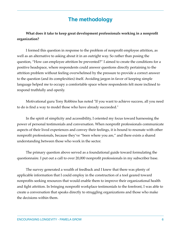# **The methodology**

# **What does it take to keep great development professionals working in a nonprofit organization?**

I formed this question in response to the problem of nonprofit employee attrition, as well as an alternative to asking about it in an outright way. So rather than posing the question, "How can employee attrition be prevented?" I aimed to create the conditions for a positive headspace, where respondents could answer questions directly pertaining to the attrition problem without feeling overwhelmed by the pressure to provide a correct answer to the question (and its complexities) itself. Avoiding jargon in favor of keeping simple language helped me to occupy a comfortable space where respondents felt more inclined to respond truthfully and openly.

Motivational guru Tony Robbins has noted "If you want to achieve success, all you need to do is find a way to model those who have already succeeded."

In the spirit of simplicity and accessibility, I oriented my focus toward harnessing the power of personal testimonials and conversation. When nonprofit professionals communicate aspects of their lived experiences and convey their feelings, it is bound to resonate with other nonprofit professionals, because they've "been where you are," and there exists a shared understanding between those who work in the sector.

The primary question above served as a foundational guide toward formulating the questionnaire. I put out a call to over 20,000 nonprofit professionals in my subscriber base.

The survey generated a wealth of feedback and I knew that there was plenty of applicable information that I could employ in the construction of a tool geared toward nonprofits seeking resources that would enable them to improve their organizational health and fight attrition. In bringing nonprofit workplace testimonials to the forefront, I was able to create a conversation that speaks directly to struggling organizations and those who make the decisions within them.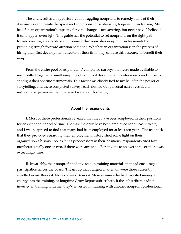The end result is an opportunity for struggling nonprofits to remedy some of their dysfunction and create the space and conditions for sustainable, long-term fundraising. My belief in an organization's capacity for vital change is unwavering, but never have I believed it can happen overnight. This guide has the potential to set nonprofits on the right path toward creating a workplace environment that nourishes nonprofit professionals by providing straightforward attrition solutions. Whether an organization is in the process of hiring their first development director or their fifth, they can use this resource to benefit their nonprofit.

From the entire pool of respondents' completed surveys that were made available to me, I pulled together a small sampling of nonprofit development professionals and chose to spotlight their specific testimonials. This tactic was closely tied to my belief in the power of storytelling, and these completed surveys each fleshed out personal narratives tied to individual experiences that I believed were worth sharing.

#### **About the respondents**

I. Most of these professionals revealed that they have been employed in their positions for an extended period of time. The vast majority have been employed for at least 3 years, and I was surprised to find that many had been employed for at least ten years. The feedback that they provided regarding their employment history shed some light on their organization's history, too: as far as predecessors in their positions, respondents cited low numbers; usually one or two, if there were any at all. For anyone to answer three or more was exceedingly rare.

II. Invariably, their nonprofit had invested in training materials that had encouraged participation across the board. The group that I targeted, after all, were those currently enrolled in my Basics & More courses, Basics & More alumni who had invested money and energy into the training, or longtime Grow Report subscribers. If the subscribers hadn't invested in training with me, they'd invested in training with another nonprofit professional.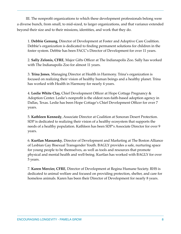III. The nonprofit organizations to which these development professionals belong were a diverse bunch, from small, to mid-sized, to larger organizations, and that variance extended beyond their size and to their missions, identities, and work that they do.

1. **Debbie Genung**, Director of Development at Foster and Adoptive Care Coalition. Debbie's organization is dedicated to finding permanent solutions for children in the foster system. Debbie has been FACC's Director of Development for over 11 years.

2. **Sally Zelonis, CFRE**, Major Gifts Officer at The Indianapolis Zoo. Sally has worked with The Indianapolis Zoo for almost 11 years.

3. **Trina Jones**, Managing Director at Health in Harmony. Trina's organization is focused on realizing their vision of healthy human beings and a healthy planet. Trina has worked with Health in Harmony for nearly 4 years.

4. **Leslie White Clay,** Chief Development Officer at Hope Cottage Pregnancy & Adoption Center. Leslie's nonprofit is the oldest non-faith-based adoption agency in Dallas, Texas. Leslie has been Hope Cottage's Chief Development Officer for over 7 years.

5. **Kathleen Kennedy**, Associate Director at Coalition at Sonoran Desert Protection. SDP is dedicated to realizing their vision of a healthy ecosystem that supports the needs of a healthy population. Kathleen has been SDP's Associate Director for over 9 years.

6. **Kurtlan Massarsky**, Director of Development and Marketing at The Boston Alliance of Lesbian Gay Bisexual Transgender Youth. BAGLY provides a safe, nurturing space for young people to be themselves, as well as tools and resources that promote physical and mental health and well-being. Kurtlan has worked with BAGLY for over 5 years.

7. **Karen Mercier, CFRE**, Director of Development at Regina Humane Society. RHS is dedicated to animal welfare and focused on providing protection, shelter, and care for homeless animals. Karen has been their Director of Development for nearly 8 years.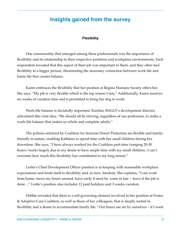# **Insights gained from the survey**

#### **Flexibility**

One commonality that emerged among these professionals was the importance of flexibility and its relationship to their respective positions and workplace environments. Each respondent revealed that this aspect of their job was important to them, and they often tied flexibility to a bigger picture, illuminating the necessary connection between work life and home life that creates balance.

Karen embraces the flexibility that her position at Regina Humane Society offers her. She says, "My job is very flexible which is the top reason I stay." Additionally, Karen receives six weeks of vacation time and is permitted to bring her dog to work.

Work-life balance is decidedly important. Kurtlan, BAGLY's development director, articulated this vital idea: "We should all be striving, regardless of our profession, to strike a work-life balance that makes us whole and complete adults."

The policies enforced by Coalition for Sonoran Desert Protection are flexible and familyfriendly in nature, enabling Kathleen to spend time with her small children during her downtime. She says, "I have always worked for the Coalition part-time (ranging 20-30 hours/week) largely due to my desire to have ample time with my small children...I can't overstate how much this flexibility has contributed to my long tenure."

Leslie's Chief Development Officer position is in keeping with reasonable workplace expectations and lends itself to flexibility and, in turn, freedom. She explains, "I can work from home, move my hours around, leave early if need be, come in late -- leave if the job is done…" Leslie's position also includes 12 paid holidays and 3 weeks vacation.

Debbie revealed that there is a self-governing element involved in her position at Foster & Adoptive Care Coalition, as well as those of her colleagues, that is deeply rooted in flexibility and a desire to accommodate family life: "Our hours are set by ourselves – if I want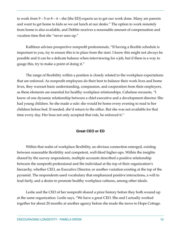to work from  $9 - 5$  or  $8 - 4$  – she [the ED] expects us to get our work done. Many are parents and want to get home to kids so we eat lunch at our desks." The option to work remotely from home is also available, and Debbie receives a reasonable amount of compensation and vacation time that she "never uses up."

Kathleen advises prospective nonprofit professionals, "If having a flexible schedule is important to you, try to ensure this is in place from the start. I know this might not always be possible and it can be a delicate balance when interviewing for a job, but if there is a way to gauge this, try to make a point of doing it."

The range of flexibility within a position is closely related to the workplace expectations that are enforced. As nonprofit employees do their best to balance their work lives and home lives, they warrant basic understanding, compassion, and cooperation from their employers, as these elements are essential for healthy workplace relationships. Cahalane recounts, "I know of one dynamic relationship between a chief executive and a development director. She had young children. So she made a rule: she would be home every evening to read to her children before bed. If needed, she'd return to the office. But she was not available for that time every day. Her boss not only accepted that rule, he enforced it."

#### **Great CEO or ED**

Within that realm of workplace flexibility, an obvious connection emerged, existing between reasonable flexibility and competent, well-liked higher-ups. Within the insights shared by the survey respondents, multiple accounts described a positive relationship between the nonprofit professional and the individual at the top of their organization's hierarchy, whether CEO, an Executive Director, or another variation existing at the top of the pyramid. The respondents used vocabulary that emphasized positive interactions, a will to lead fairly, and a desire to promote healthy workplace cultures, among other ideals.

Leslie and the CEO of her nonprofit shared a prior history before they both wound up at the same organization. Leslie says, "We have a great CEO. She and I actually worked together for about 20 months at another agency before she made the move to Hope Cottage.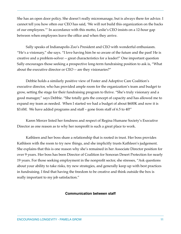She has an open door policy. She doesn't really micromanage, but is always there for advice. I cannot tell you how often our CEO has said, 'We will not build this organization on the backs of our employees.'" In accordance with this motto, Leslie's CEO insists on a 12-hour gap between when employees leave the office and when they arrive.

Sally speaks of Indianapolis Zoo's President and CEO with wonderful enthusiasm. "He's a visionary," she says. "I love having him be so aware of the future and the past! He is creative and a problem-solver -- great characteristics for a leader!" One important question Sally encourages those seeking a prospective long-term fundraising position to ask is, "What about the executive director or CEO -- are they visionaries?"

Debbie holds a similarly positive view of Foster and Adoptive Care Coalition's executive director, who has provided ample room for the organization's team and budget to grow, setting the stage for their fundraising program to thrive. "She's truly visionary and a good manager," says Debbie. "She totally gets the concept of capacity and has allowed me to expand my team as needed. When I started we had a budget of about \$600K and now it is \$3.6M. We have added programs and staff – gone from staff of 6.5 to 40!"

Karen Mercer listed her fondness and respect of Regina Humane Society's Executive Director as one reason as to why her nonprofit is such a great place to work.

Kathleen and her boss share a relationship that is rooted in trust. Her boss provides Kathleen with the room to try new things, and she implicitly trusts Kathleen's judgement. She explains that this is one reason why she's remained in her Associate Director position for over 9 years. Her boss has been Director of Coalition for Sonoran Desert Protection for nearly 19 years. For those seeking employment in the nonprofit sector, she stresses, "Ask questions about your ability to take risks, try new strategies, and generally keep up with best practices in fundraising. I find that having the freedom to be creative and think outside the box is really important to my job satisfaction."

#### **Communication between staff**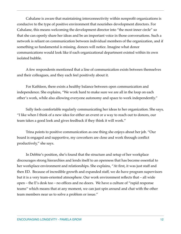Cahalane is aware that maintaining interconnectivity within nonprofit organizations is conducive to the type of positive environment that nourishes development directors. For Cahalane, this means welcoming the development director into "the most inner circle" so that she can openly share her ideas and be an important voice in those conversations. Such a network is reliant on communication between individual members of the organization, and if something so fundamental is missing, donors will notice. Imagine what donor communications would look like if each organizational department existed within its own isolated bubble.

A few respondents mentioned that a line of communication exists between themselves and their colleagues, and they each feel positively about it.

For Kathleen, there exists a healthy balance between open communication and independence. She explains, "We work hard to make sure we are all in the loop on each other's work, while also allowing everyone autonomy and space to work independently."

Sally feels comfortable regularly communicating her ideas to her organization. She says, "I like when I think of a new idea for either an event or a way to reach out to donors, our team takes a good look and gives feedback if they think it will work."

Trina points to positive communication as one thing she enjoys about her job. "Our board is engaged and supportive, my coworkers are close and work through conflict productively," she says.

In Debbie's position, she's found that the structure and setup of her workplace discourages strong hierarchies and lends itself to an openness that has become essential to her workplace environment and relationships. She explains, "At first, it was just staff and then ED. Because of incredible growth and expanded staff, we do have program supervisors but it is a very team-oriented atmosphere. Our work environment reflects that – all wide open – the E's desk too – no offices and no doors. We have a culture of "rapid response teams" which means that at any moment, we can just spin around and chat with the other team members near us to solve a problem or issue."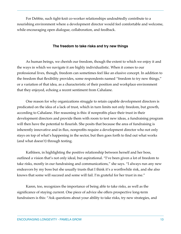For Debbie, such tight-knit co-worker relationships undoubtedly contribute to a nourishing environment where a development director would feel comfortable and welcome, while encouraging open dialogue, collaboration, and feedback.

#### **The freedom to take risks and try new things**

As human beings, we cherish our freedom, though the extent to which we enjoy it and the ways in which we navigate it are highly individualistic. When it comes to our professional lives, though, freedom can sometimes feel like an elusive concept. In addition to the freedom that flexibility provides, some respondents named "freedom to try new things," or a variation of that idea, as a characteristic of their position and workplace environment that they enjoyed, echoing a recent sentiment from Cahalane.

One reason for why organizations struggle to retain capable development directors is predicated on the idea of a lack of trust, which in turn limits not only freedom, but growth, according to Cahalane. Her reasoning is this: if nonprofits place their trust in their development directors and provide them with room to test new ideas, a fundraising program will then have the potential to flourish. She posits that because the area of fundraising is inherently innovative and in flux, nonprofits require a development director who not only stays on top of what's happening in the sector, but then goes forth to find out what works (and what doesn't) through testing.

Kathleen, in highlighting the positive relationship between herself and her boss, outlined a vision that's not only ideal, but aspirational. "I've been given a lot of freedom to take risks, mostly in our fundraising and communications," she says. "I always run any new endeavors by my boss but she usually trusts that I think it's a worthwhile risk, and she also knows that some will succeed and some will fail. I'm grateful for her trust in me."

Karen, too, recognizes the importance of being able to take risks, as well as the significance of staying current. One piece of advice she offers prospective long-term fundraisers is this: "Ask questions about your ability to take risks, try new strategies, and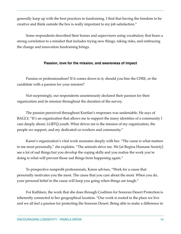generally keep up with the best practices in fundraising. I find that having the freedom to be creative and think outside the box is really important to my job satisfaction."

Some respondents described their bosses and supervisors using vocabulary that bears a strong correlation to a mindset that includes trying new things, taking risks, and embracing the change and innovation fundraising brings.

# **Passion, love for the mission, and awareness of impact**

Passion or professionalism? If it comes down to it, should you hire the CFRE, or the candidate with a passion for your mission?

Not surprisingly, our respondents unanimously declared their passion for their organization and its mission throughout the duration of the survey.

The passion perceived throughout Kurtlan's responses was undeniable. He says of BAGLY, "It's an organization that allows me to support the many identities of a community I care deeply about, LGBTQ youth. What drives me is the mission of my organization, the people we support, and my dedicated co-workers and community."

Karen's organization's vital work resonates deeply with her. "The cause is what matters to me most personally," she explains. "The animals drive me. We [at Regina Humane Society] see a lot of sad things but you develop the coping skills and you realize the work you're doing is what will prevent those sad things from happening again."

To prospective nonprofit professionals, Karen advises, "Work for a cause that personally motivates you the most. The cause that you care about the most. When you do, your personal belief in the cause will keep you going when things are tough."

For Kathleen, the work that she does through Coalition for Sonoran Desert Protection is inherently connected to her geographical location. "Our work is rooted in the place we live and we all feel a passion for protecting the Sonoran Desert. Being able to make a difference in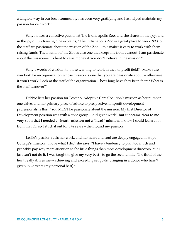a tangible way in our local community has been very gratifying and has helped maintain my passion for our work."

Sally notices a collective passion at The Indianapolis Zoo, and she shares in that joy, and in the joy of fundraising. She explains, "The Indianapolis Zoo is a great place to work. 99% of the staff are passionate about the mission of the Zoo -- this makes it easy to work with them raising funds. The mission of the Zoo is also one that keeps me from burnout. I am passionate about the mission—it is hard to raise money if you don't believe in the mission."

Sally's words of wisdom to those wanting to work in the nonprofit field? "Make sure you look for an organization whose mission is one that you are passionate about -- otherwise it won't work! Look at the staff of the organization -- how long have they been there? What is the staff turnover?"

Debbie lists her passion for Foster & Adoptive Care Coalition's mission as her number one drive, and her primary piece of advice to prospective nonprofit development professionals is this: "You MUST be passionate about the mission. My first Director of Development position was with a civic group -- did great work! **But it became clear to me very soon that I needed a "heart" mission not a "head" mission.** I knew I could learn a lot from that ED so I stuck it out for 3 ½ years – then found my passion."

Leslie's passion fuels her work, and her heart and soul are deeply engaged in Hope Cottage's mission. "I love what I do," she says. "I have a tendency to plan too much and probably pay way more attention to the little things than most development directors, but I just can't not do it. I was taught to give my very best - to go the second mile. The thrill of the hunt really drives me -- achieving and exceeding set goals, bringing in a donor who hasn't given in 25 years (my personal best)."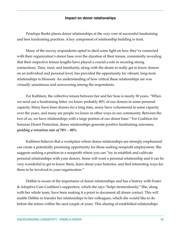#### **Impact on donor relationships**

Penelope Burke places donor relationships at the very core of successful fundraising and best fundraising practices. A key component of relationship building is trust.

Many of the survey respondents opted to shed some light on how they've connected with their organization's donor base over the duration of their tenure, consistently revealing that their respective tenure lengths have played a crucial a role in securing strong connections. Time, trust, and familiarity, along with the desire to really get to know donors on an individual and personal level, has provided the opportunity for vibrant, long-term relationships to blossom. An understanding of how critical these relationships are was virtually unanimous and unwavering among the respondents.

For Kathleen, the collective tenure between her and her boss is nearly 30 years. "When we send out a fundraising letter, we know probably 80% of our donors in some personal capacity. Many have been donors for a long time, many have volunteered in some capacity over the years, and many are people we know in other ways in our community. Between the two of us, we have relationships with a large portion of our donor base." For Coalition for Sonoran Desert Protection, donor relationships generate positive fundraising outcomes, *yielding a retention rate of 70% - 80%*.

Kathleen believes that a workplace where donor relationships are strongly emphasized can create a potentially promising opportunity for those seeking nonprofit employment. She suggests seeking a position in a nonprofit where you can "try to establish and cultivate personal relationships with your donors. Some will want a personal relationship and it can be very wonderful to get to know them, learn about your histories, and find interesting ways for them to be involved in your organization."

Debbie is aware of the importance of donor relationships and has a history with Foster & Adoptive Care Coalition's supporters, which she says "helps tremendously." She, along with her whole team, have been making it a point to document all donor contact. This will enable Debbie to transfer her relationships to her colleagues, which she would like to do before she retires within the next couple of years. This sharing of established relationships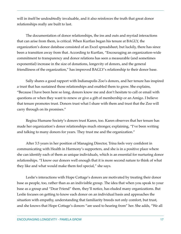will in itself be undoubtedly invaluable, and it also reinforces the truth that great donor relationships really are built to last.

The documentation of donor relationships, the ins and outs and myriad interactions that can arise from them, is critical. When Kurtlan began his tenure at BAGLY, the organization's donor database consisted of an Excel spreadsheet, but luckily, there has since been a transition away from that. According to Kurtlan, "Encouraging an organization-wide commitment to transparency and donor relations has seen a measurable (and sometimes exponential) increase in the size of donations, longevity of donors, and the general friendliness of the organization," has improved BAGLY's relationship to their donor base.

Sally shares a good rapport with Indianapolis Zoo's donors, and her tenure has inspired a trust that has sustained those relationships and enabled them to grow. She explains, "Because I have been here so long, donors know me and don't hesitate to call or email with questions or when they want to renew or give a gift of membership or an Amigo. I believe that tenure promotes trust. Donors trust what I share with them and trust that the Zoo will carry through on its promises."

Regina Humane Society's donors trust Karen, too. Karen observes that her tenure has made her organization's donor relationships much stronger, explaining, "I've been writing and talking to many donors for years. They trust me and the organization."

After 3.5 years in her position of Managing Director, Trina feels very confident in communicating with Health in Harmony's supporters, and she is in a positive place where she can identify each of them as unique individuals, which is an essential for nurturing donor relationships. "I know our donors well enough that it is more second nature to think of what they like and what would make them feel special," she says.

Leslie's interactions with Hope Cottage's donors are motivated by treating their donor base as people, too, rather than as an indivisible group. The idea that when you speak to your base as a group and "Dear Friend" them, they'll notice, has eluded many organizations. But Leslie focuses on getting to know each donor on an individual basis and approaches the situation with empathy, understanding that familiarity breeds not only comfort, but trust, and she knows that Hope Cottage's donors "are used to hearing from" her. She adds, "We all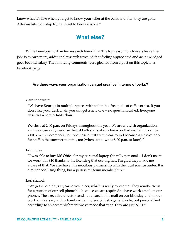know what it's like when you get to know your teller at the bank and then they are gone. After awhile, you stop trying to get to know anyone."

# **What else?**

While Penelope Burk in her research found that The top reason fundraisers leave their jobs is to earn more, additional research revealed that feeling appreciated and acknowledged goes beyond salary. The following comments were gleaned from a post on this topic in a Facebook page.

# **Are there ways your organization can get creative in terms of perks?**

## Caroline wrote:

"We have Keurigs in multiple spaces with unlimited free pods of coffee or tea. If you don't like your desk chair, you can get a new one -- no questions asked. Everyone deserves a comfortable chair.

We close at 2:00 p.m. on Fridays throughout the year. We are a Jewish organization, and we close early because the Sabbath starts at sundown on Fridays (which can be 4:00 p.m. in December)... but we close at 2:00 p.m. year-round because it's a nice perk for staff in the summer months, too (when sundown is 8:00 p.m. or later)."

## Erin notes

"I was able to buy MS Office for my personal laptop (literally personal -- I don't use it for work) for \$10 thanks to the licencing that our org has. I'm glad they made me aware of that. We also have this nebulous partnership with the local science center. It is a rather confusing thing, but a perk is museum membership."

## Lori shared:

"We get 2 paid days a year to volunteer, which is really awesome! They reimburse us for a portion of our cell phone bill because we are required to have work email on our phones. The executive director sends us a card in the mail on our birthday and on our work anniversary with a hand written note--not just a generic note, but personalized according to an accomplishment we've made that year. They are just NICE!"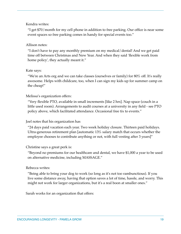Kendra writes:

"I get \$70/month for my cell phone in addition to free parking. Our office is near some event spaces so free parking comes in handy for special events too."

## Allison notes:

"I don't have to pay any monthly premium on my medical/dental! And we get paid time off between Christmas and New Year. And when they said 'flexible work from home policy', they actually meant it."

## Kate says:

"We're an Arts org and we can take classes (ourselves or family) for 80% off. It's really awesome. Helps with childcare, too, when I can sign my kids up for summer camp on the cheap!"

## Melissa's organization offers:

"Very flexible PTO, available in small increments [like 2 hrs]. Nap space (couch in a little used room). Arrangements to audit courses at a university in any field - see PTO policy above, which facilitated attendance. Occasional free tix to events."

## Joel notes that his organization has

"24 days paid vacation each year. Two week holiday closure. Thirteen paid holidays. Ultra-generous retirement plan [automatic 13% salary match that occurs whether the employee chooses to contribute anything or not, with full vesting after 3 years]"

## Christine says a great perk is:

"Beyond no premiums for our healthcare and dental, we have \$1,000 a year to be used on alternative medicine, including MASSAGE."

#### Rebecca writes:

"Being able to bring your dog to work (so long as it's not too rambunctious). If you live some distance away, having that option saves a lot of time, hassle, and worry. This might not work for larger organizations, but it's a real boon at smaller ones."

Sarah works for an organization that offers: